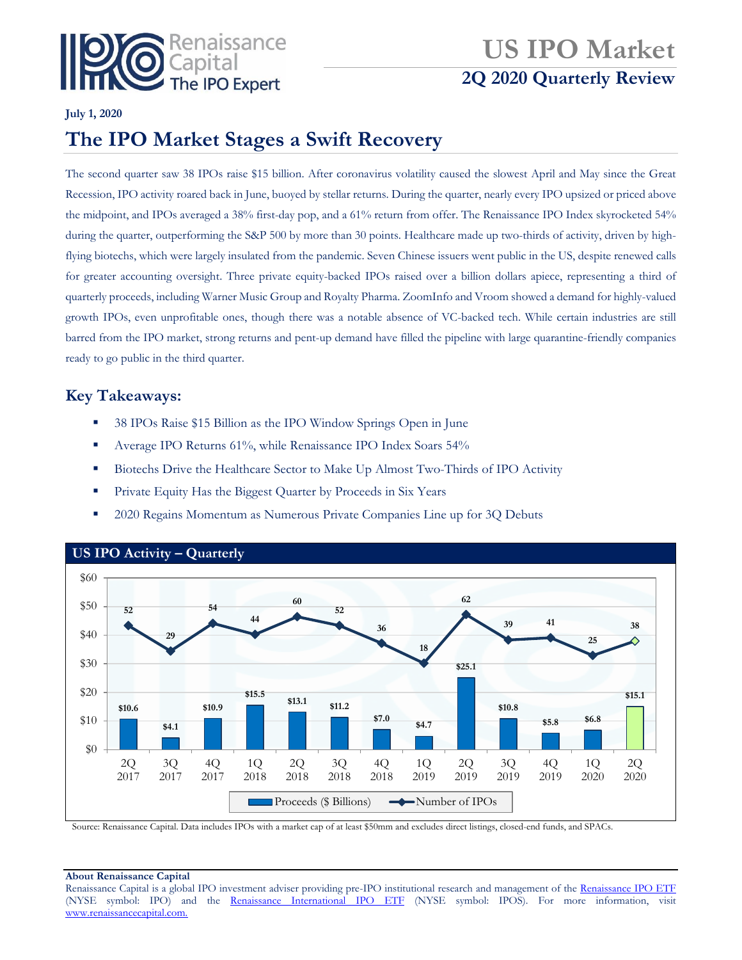

# **US IPO Market 2Q 2020 Quarterly Review**

### **July 1, 2020**

## **The IPO Market Stages a Swift Recovery**

The second quarter saw 38 IPOs raise \$15 billion. After coronavirus volatility caused the slowest April and May since the Great Recession, IPO activity roared back in June, buoyed by stellar returns. During the quarter, nearly every IPO upsized or priced above the midpoint, and IPOs averaged a 38% first-day pop, and a 61% return from offer. The Renaissance IPO Index skyrocketed 54% during the quarter, outperforming the S&P 500 by more than 30 points. Healthcare made up two-thirds of activity, driven by highflying biotechs, which were largely insulated from the pandemic. Seven Chinese issuers went public in the US, despite renewed calls for greater accounting oversight. Three private equity-backed IPOs raised over a billion dollars apiece, representing a third of quarterly proceeds, including Warner Music Group and Royalty Pharma. ZoomInfo and Vroom showed a demand for highly-valued growth IPOs, even unprofitable ones, though there was a notable absence of VC-backed tech. While certain industries are still barred from the IPO market, strong returns and pent-up demand have filled the pipeline with large quarantine-friendly companies ready to go public in the third quarter.

### **Key Takeaways:**

- 38 IPOs Raise \$15 Billion as the IPO Window Springs Open in June
- Average IPO Returns 61%, while Renaissance IPO Index Soars 54%
- **Biotechs Drive the Healthcare Sector to Make Up Almost Two-Thirds of IPO Activity**
- **Private Equity Has the Biggest Quarter by Proceeds in Six Years**
- 2020 Regains Momentum as Numerous Private Companies Line up for 3Q Debuts



Source: Renaissance Capital. Data includes IPOs with a market cap of at least \$50mm and excludes direct listings, closed-end funds, and SPACs.

#### **About Renaissance Capital**

Renaissance Capital is a global IPO investment adviser providing pre-IPO institutional research and management of the [Renaissance IPO ETF](http://www.renaissancecapital.com/IPOInvesting/IPOETF/IPOETF.aspx) (NYSE symbol: IPO) and the [Renaissance International IPO ETF](http://www.renaissancecapital.com/ipoinvesting/iposetf/iposetf.aspx) (NYSE symbol: IPOS). For more information, visit [www.renaissancecapital.com.](http://www.renaissancecapital.com/)